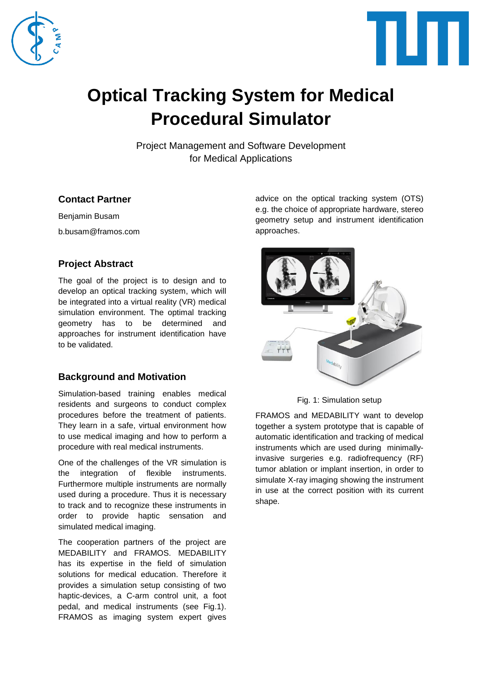



# **Optical Tracking System for Medical Procedural Simulator**

Project Management and Software Development for Medical Applications

# **Contact Partner**

Benjamin Busam b.busam@framos.com

# **Project Abstract**

The goal of the project is to design and to develop an optical tracking system, which will be integrated into a virtual reality (VR) medical simulation environment. The optimal tracking geometry has to be determined and approaches for instrument identification have to be validated.

# **Background and Motivation**

Simulation-based training enables medical residents and surgeons to conduct complex procedures before the treatment of patients. They learn in a safe, virtual environment how to use medical imaging and how to perform a procedure with real medical instruments.

One of the challenges of the VR simulation is the integration of flexible instruments. Furthermore multiple instruments are normally used during a procedure. Thus it is necessary to track and to recognize these instruments in order to provide haptic sensation and simulated medical imaging.

The cooperation partners of the project are MEDABILITY and FRAMOS. MEDABILITY has its expertise in the field of simulation solutions for medical education. Therefore it provides a simulation setup consisting of two haptic-devices, a C-arm control unit, a foot pedal, and medical instruments (see Fig.1). FRAMOS as imaging system expert gives

advice on the optical tracking system (OTS) e.g. the choice of appropriate hardware, stereo geometry setup and instrument identification approaches.



Fig. 1: Simulation setup

FRAMOS and MEDABILITY want to develop together a system prototype that is capable of automatic identification and tracking of medical instruments which are used during minimallyinvasive surgeries e.g. radiofrequency (RF) tumor ablation or implant insertion, in order to simulate X-ray imaging showing the instrument in use at the correct position with its current shape.